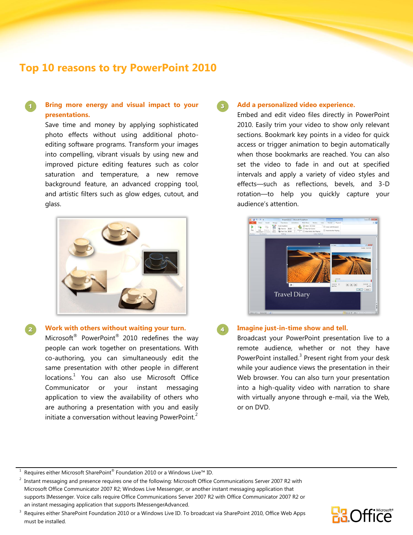# **Top 10 reasons to try PowerPoint 2010**

# **Bring more energy and visual impact to your presentations.**

Save time and money by applying sophisticated photo effects without using additional photoediting software programs. Transform your images into compelling, vibrant visuals by using new and improved picture editing features such as color saturation and temperature, a new remove background feature, an advanced cropping tool, and artistic filters such as glow edges, cutout, and glass.



**Work with others without waiting your turn.** Microsoft<sup>®</sup> PowerPoint<sup>®</sup> 2010 redefines the way people can work together on presentations. With co-authoring, you can simultaneously edit the same presentation with other people in different locations.<sup>1</sup> You can also use Microsoft Office Communicator or your instant messaging application to view the availability of others who are authoring a presentation with you and easily initiate a conversation without leaving PowerPoint.<sup>2</sup>

### **Add a personalized video experience.**

Embed and edit video files directly in PowerPoint 2010. Easily trim your video to show only relevant sections. Bookmark key points in a video for quick access or trigger animation to begin automatically when those bookmarks are reached. You can also set the video to fade in and out at specified intervals and apply a variety of video styles and effects—such as reflections, bevels, and 3-D rotation—to help you quickly capture your audience's attention.



### **Imagine just-in-time show and tell.**

Broadcast your PowerPoint presentation live to a remote audience, whether or not they have PowerPoint installed.<sup>3</sup> Present right from your desk while your audience views the presentation in their Web browser. You can also turn your presentation into a high-quality video with narration to share with virtually anyone through e-mail, via the Web, or on DVD.

<sup>3</sup> Requires either SharePoint Foundation 2010 or a Windows Live ID. To broadcast via SharePoint 2010, Office Web Apps must be installed.



<sup>1</sup> Requires either Microsoft SharePoint® Foundation 2010 or a Windows Live™ ID.

<sup>2</sup> Instant messaging and presence requires one of the following: Microsoft Office Communications Server 2007 R2 with Microsoft Office Communicator 2007 R2; Windows Live Messenger, or another instant messaging application that supports IMessenger. Voice calls require Office Communications Server 2007 R2 with Office Communicator 2007 R2 or an instant messaging application that supports IMessengerAdvanced.